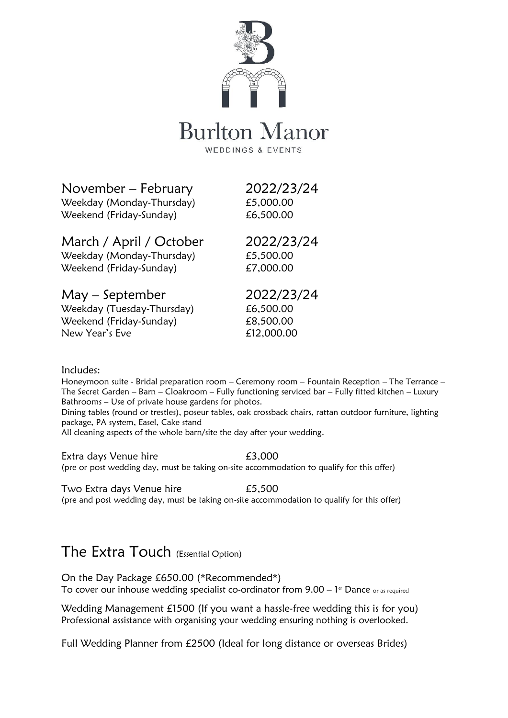

# **Burlton Manor**

WEDDINGS & EVENTS

November – February 2022/23/24

Weekday (Monday-Thursday) £5,000.00 Weekend (Friday-Sunday) 66,500.00

March / April / October 2022/23/24 Weekday (Monday-Thursday) £5,500.00

Weekend (Friday-Sunday) £7,000.00

May – September 2022/23/24 Weekday (Tuesday-Thursday) 66,500.00 Weekend (Friday-Sunday) E8,500.00 New Year's Eve **Elements** 612,000.00

#### Includes:

Honeymoon suite - Bridal preparation room – Ceremony room – Fountain Reception – The Terrance – The Secret Garden – Barn – Cloakroom – Fully functioning serviced bar – Fully fitted kitchen – Luxury Bathrooms – Use of private house gardens for photos.

Dining tables (round or trestles), poseur tables, oak crossback chairs, rattan outdoor furniture, lighting package, PA system, Easel, Cake stand

All cleaning aspects of the whole barn/site the day after your wedding.

Extra days Venue hire **EXEL EXEL** E3,000 (pre or post wedding day, must be taking on-site accommodation to qualify for this offer)

Two Extra days Venue hire **E5,500** (pre and post wedding day, must be taking on-site accommodation to qualify for this offer)

### The Extra Touch (Essential Option)

On the Day Package £650.00 (\*Recommended\*) To cover our inhouse wedding specialist co-ordinator from  $9.00 - 1$ <sup>st</sup> Dance or as required

Wedding Management £1500 (If you want a hassle-free wedding this is for you) Professional assistance with organising your wedding ensuring nothing is overlooked.

Full Wedding Planner from £2500 (Ideal for long distance or overseas Brides)